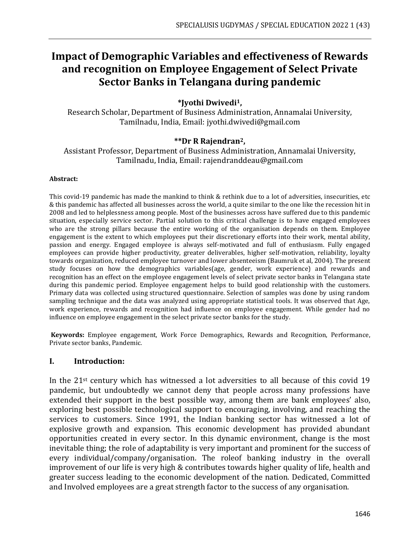# **Impact of Demographic Variables and effectiveness of Rewards and recognition on Employee Engagement of Select Private Sector Banks in Telangana during pandemic**

## **\*Jyothi Dwivedi1,**

Research Scholar, Department of Business Administration, Annamalai University, Tamilnadu, India, Email: [jyothi.dwivedi@gmail.com](mailto:jyothi.dwivedi@gmail.com)

## **\*\*Dr R Rajendran2,**

Assistant Professor, Department of Business Administration, Annamalai University, Tamilnadu, India, Email: rajendranddeau@gmail.com

#### **Abstract:**

This covid-19 pandemic has made the mankind to think & rethink due to a lot of adversities, insecurities, etc & this pandemic has affected all businesses across the world, a quite similar to the one like the recession hit in 2008 and led to helplessness among people. Most of the businesses across have suffered due to this pandemic situation, especially service sector. Partial solution to this critical challenge is to have engaged employees who are the strong pillars because the entire working of the organisation depends on them. Employee engagement is the extent to which employees put their discretionary efforts into their work, mental ability, passion and energy. Engaged employee is always self-motivated and full of enthusiasm. Fully engaged employees can provide higher productivity, greater deliverables, higher self-motivation, reliability, loyalty towards organization, reduced employee turnover and lower absenteeism (Baumruk et al, 2004). The present study focuses on how the demographics variables(age, gender, work experience) and rewards and recognition has an effect on the employee engagement levels of select private sector banks in Telangana state during this pandemic period. Employee engagement helps to build good relationship with the customers. Primary data was collected using structured questionnaire. Selection of samples was done by using random sampling technique and the data was analyzed using appropriate statistical tools. It was observed that Age, work experience, rewards and recognition had influence on employee engagement. While gender had no influence on employee engagement in the select private sector banks for the study.

**Keywords:** Employee engagement, Work Force Demographics, Rewards and Recognition, Performance, Private sector banks, Pandemic.

#### **I. Introduction:**

In the 21st century which has witnessed a lot adversities to all because of this covid 19 pandemic, but undoubtedly we cannot deny that people across many professions have extended their support in the best possible way, among them are bank employees' also, exploring best possible technological support to encouraging, involving, and reaching the services to customers. Since 1991, the Indian banking sector has witnessed a lot of explosive growth and expansion. This economic development has provided abundant opportunities created in every sector. In this dynamic environment, change is the most inevitable thing; the role of adaptability is very important and prominent for the success of every individual/company/organisation. The roleof banking industry in the overall improvement of our life is very high & contributes towards higher quality of life, health and greater success leading to the economic development of the nation. Dedicated, Committed and Involved employees are a great strength factor to the success of any organisation.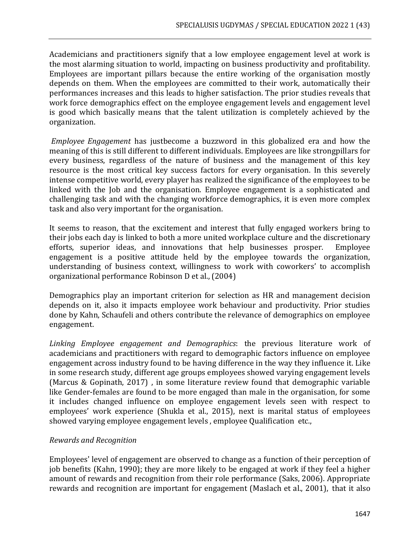Academicians and practitioners signify that a low employee engagement level at work is the most alarming situation to world, impacting on business productivity and profitability. Employees are important pillars because the entire working of the organisation mostly depends on them. When the employees are committed to their work, automatically their performances increases and this leads to higher satisfaction. The prior studies reveals that work force demographics effect on the employee engagement levels and engagement level is good which basically means that the talent utilization is completely achieved by the organization.

*Employee Engagement* has justbecome a buzzword in this globalized era and how the meaning of this is still different to different individuals. Employees are like strongpillars for every business, regardless of the nature of business and the management of this key resource is the most critical key success factors for every organisation. In this severely intense competitive world, every player has realized the significance of the employees to be linked with the Job and the organisation. Employee engagement is a sophisticated and challenging task and with the changing workforce demographics, it is even more complex task and also very important for the organisation.

It seems to reason, that the excitement and interest that fully engaged workers bring to their jobs each day is linked to both a more united workplace culture and the discretionary efforts, superior ideas, and innovations that help businesses prosper. Employee engagement is a positive attitude held by the employee towards the organization, understanding of business context, willingness to work with coworkers' to accomplish organizational performance Robinson D et al., (2004)

Demographics play an important criterion for selection as HR and management decision depends on it, also it impacts employee work behaviour and productivity. Prior studies done by Kahn, Schaufeli and others contribute the relevance of demographics on employee engagement.

*Linking Employee engagement and Demographics*: the previous literature work of academicians and practitioners with regard to demographic factors influence on employee engagement across industry found to be having difference in the way they influence it. Like in some research study, different age groups employees showed varying engagement levels (Marcus & Gopinath, 2017) , in some literature review found that demographic variable like Gender-females are found to be more engaged than male in the organisation, for some it includes changed influence on employee engagement levels seen with respect to employees' work experience (Shukla et al., 2015), next is marital status of employees showed varying employee engagement levels , employee Qualification etc.,

## *Rewards and Recognition*

Employees' level of engagement are observed to change as a function of their perception of job benefits (Kahn, 1990); they are more likely to be engaged at work if they feel a higher amount of rewards and recognition from their role performance (Saks, 2006). Appropriate rewards and recognition are important for engagement (Maslach et al., 2001), that it also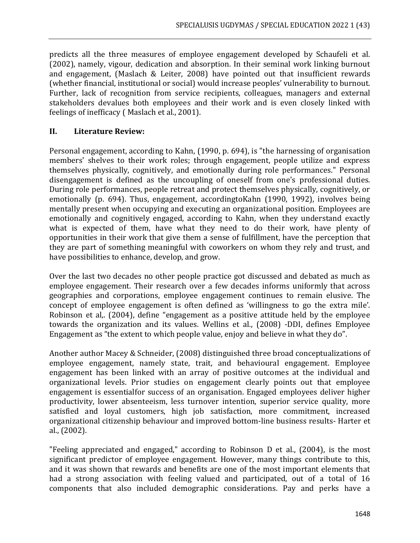predicts all the three measures of employee engagement developed by Schaufeli et al. (2002), namely, vigour, dedication and absorption. In their seminal work linking burnout and engagement, (Maslach & Leiter, 2008) have pointed out that insufficient rewards (whether financial, institutional or social) would increase peoples' vulnerability to burnout. Further, lack of recognition from service recipients, colleagues, managers and external stakeholders devalues both employees and their work and is even closely linked with feelings of inefficacy ( Maslach et al., 2001).

#### **II. Literature Review:**

Personal engagement, according to Kahn, (1990, p. 694), is "the harnessing of organisation members' shelves to their work roles; through engagement, people utilize and express themselves physically, cognitively, and emotionally during role performances." Personal disengagement is defined as the uncoupling of oneself from one's professional duties. During role performances, people retreat and protect themselves physically, cognitively, or emotionally (p. 694). Thus, engagement, accordingtoKahn (1990, 1992), involves being mentally present when occupying and executing an organizational position. Employees are emotionally and cognitively engaged, according to Kahn, when they understand exactly what is expected of them, have what they need to do their work, have plenty of opportunities in their work that give them a sense of fulfillment, have the perception that they are part of something meaningful with coworkers on whom they rely and trust, and have possibilities to enhance, develop, and grow.

Over the last two decades no other people practice got discussed and debated as much as employee engagement. Their research over a few decades informs uniformly that across geographies and corporations, employee engagement continues to remain elusive. The concept of employee engagement is often defined as 'willingness to go the extra mile'. Robinson et al,. (2004), define "engagement as a positive attitude held by the employee towards the organization and its values. Wellins et al., (2008) -DDI, defines Employee Engagement as "the extent to which people value, enjoy and believe in what they do".

Another author Macey & Schneider, (2008) distinguished three broad conceptualizations of employee engagement, namely state, trait, and behavioural engagement. Employee engagement has been linked with an array of positive outcomes at the individual and organizational levels. Prior studies on engagement clearly points out that employee engagement is essentialfor success of an organisation. Engaged employees deliver higher productivity, lower absenteeism, less turnover intention, superior service quality, more satisfied and loyal customers, high job satisfaction, more commitment, increased organizational citizenship behaviour and improved bottom-line business results- Harter et al., (2002).

"Feeling appreciated and engaged," according to Robinson D et al., (2004), is the most significant predictor of employee engagement. However, many things contribute to this, and it was shown that rewards and benefits are one of the most important elements that had a strong association with feeling valued and participated, out of a total of 16 components that also included demographic considerations. Pay and perks have a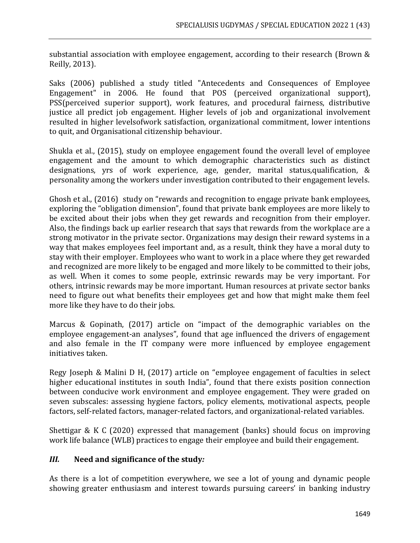substantial association with employee engagement, according to their research (Brown & Reilly, 2013).

Saks (2006) published a study titled "Antecedents and Consequences of Employee Engagement" in 2006. He found that POS (perceived organizational support), PSS(perceived superior support), work features, and procedural fairness, distributive justice all predict job engagement. Higher levels of job and organizational involvement resulted in higher levelsofwork satisfaction, organizational commitment, lower intentions to quit, and Organisational citizenship behaviour.

Shukla et al., (2015), study on employee engagement found the overall level of employee engagement and the amount to which demographic characteristics such as distinct designations, yrs of work experience, age, gender, marital status,qualification, & personality among the workers under investigation contributed to their engagement levels.

Ghosh et al., (2016) study on "rewards and recognition to engage private bank employees, exploring the "obligation dimension", found that private bank employees are more likely to be excited about their jobs when they get rewards and recognition from their employer. Also, the findings back up earlier research that says that rewards from the workplace are a strong motivator in the private sector. Organizations may design their reward systems in a way that makes employees feel important and, as a result, think they have a moral duty to stay with their employer. Employees who want to work in a place where they get rewarded and recognized are more likely to be engaged and more likely to be committed to their jobs, as well. When it comes to some people, extrinsic rewards may be very important. For others, intrinsic rewards may be more important. Human resources at private sector banks need to figure out what benefits their employees get and how that might make them feel more like they have to do their jobs.

Marcus & Gopinath, (2017) article on "impact of the demographic variables on the employee engagement-an analyses", found that age influenced the drivers of engagement and also female in the IT company were more influenced by employee engagement initiatives taken.

Regy Joseph & Malini D H, (2017) article on "employee engagement of faculties in select higher educational institutes in south India", found that there exists position connection between conducive work environment and employee engagement. They were graded on seven subscales: assessing hygiene factors, policy elements, motivational aspects, people factors, self-related factors, manager-related factors, and organizational-related variables.

Shettigar & K C (2020) expressed that management (banks) should focus on improving work life balance (WLB) practices to engage their employee and build their engagement.

# *III.* **Need and significance of the study***:*

As there is a lot of competition everywhere, we see a lot of young and dynamic people showing greater enthusiasm and interest towards pursuing careers' in banking industry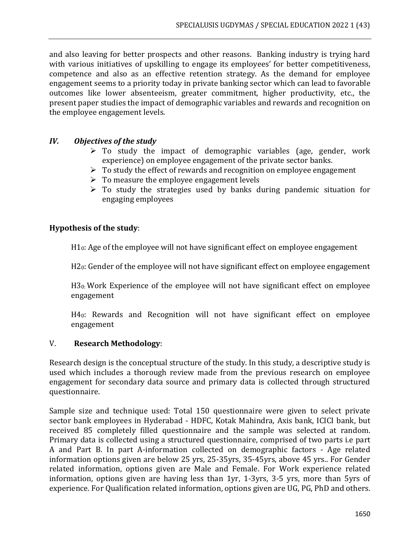and also leaving for better prospects and other reasons. Banking industry is trying hard with various initiatives of upskilling to engage its employees' for better competitiveness, competence and also as an effective retention strategy. As the demand for employee engagement seems to a priority today in private banking sector which can lead to favorable outcomes like lower absenteeism, greater commitment, higher productivity, etc., the present paper studies the impact of demographic variables and rewards and recognition on the employee engagement levels.

#### *IV. Objectives of the study*

- $\triangleright$  To study the impact of demographic variables (age, gender, work experience) on employee engagement of the private sector banks.
- $\triangleright$  To study the effect of rewards and recognition on employee engagement
- $\triangleright$  To measure the employee engagement levels
- $\triangleright$  To study the strategies used by banks during pandemic situation for engaging employees

#### **Hypothesis of the study**:

H10: Age of the employee will not have significant effect on employee engagement

H20: Gender of the employee will not have significant effect on employee engagement

H30: Work Experience of the employee will not have significant effect on employee engagement

H40: Rewards and Recognition will not have significant effect on employee engagement

## V. **Research Methodology**:

Research design is the conceptual structure of the study. In this study, a descriptive study is used which includes a thorough review made from the previous research on employee engagement for secondary data source and primary data is collected through structured questionnaire.

Sample size and technique used: Total 150 questionnaire were given to select private sector bank employees in Hyderabad - HDFC, Kotak Mahindra, Axis bank, ICICI bank, but received 85 completely filled questionnaire and the sample was selected at random. Primary data is collected using a structured questionnaire, comprised of two parts i.e part A and Part B. In part A-information collected on demographic factors - Age related information options given are below 25 yrs, 25-35yrs, 35-45yrs, above 45 yrs.. For Gender related information, options given are Male and Female. For Work experience related information, options given are having less than 1yr, 1-3yrs, 3-5 yrs, more than 5yrs of experience. For Qualification related information, options given are UG, PG, PhD and others.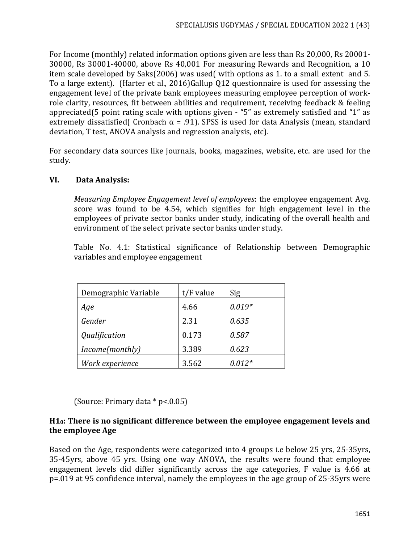For Income (monthly) related information options given are less than Rs 20,000, Rs 20001- 30000, Rs 30001-40000, above Rs 40,001 For measuring Rewards and Recognition, a 10 item scale developed by Saks(2006) was used( with options as 1. to a small extent and 5. To a large extent). (Harter et al., 2016)Gallup Q12 questionnaire is used for assessing the engagement level of the private bank employees measuring employee perception of workrole clarity, resources, fit between abilities and requirement, receiving feedback & feeling appreciated(5 point rating scale with options given - "5" as extremely satisfied and "1" as extremely dissatisfied( Cronbach  $\alpha$  = .91). SPSS is used for data Analysis (mean, standard deviation, T test, ANOVA analysis and regression analysis, etc).

For secondary data sources like journals, books, magazines, website, etc. are used for the study.

## **VI. Data Analysis:**

*Measuring Employee Engagement level of employees*: the employee engagement Avg. score was found to be 4.54, which signifies for high engagement level in the employees of private sector banks under study, indicating of the overall health and environment of the select private sector banks under study.

Table No. 4.1: Statistical significance of Relationship between Demographic variables and employee engagement

| Demographic Variable | $t/F$ value | Sig      |
|----------------------|-------------|----------|
| Age                  | 4.66        | $0.019*$ |
| Gender               | 2.31        | 0.635    |
| Qualification        | 0.173       | 0.587    |
| Income(monthly)      | 3.389       | 0.623    |
| Work experience      | 3.562       | $0.012*$ |

(Source: Primary data \* p<.0.05)

## **H10: There is no significant difference between the employee engagement levels and the employee Age**

Based on the Age, respondents were categorized into 4 groups i.e below 25 yrs, 25-35yrs, 35-45yrs, above 45 yrs. Using one way ANOVA, the results were found that employee engagement levels did differ significantly across the age categories, F value is 4.66 at p=.019 at 95 confidence interval, namely the employees in the age group of 25-35yrs were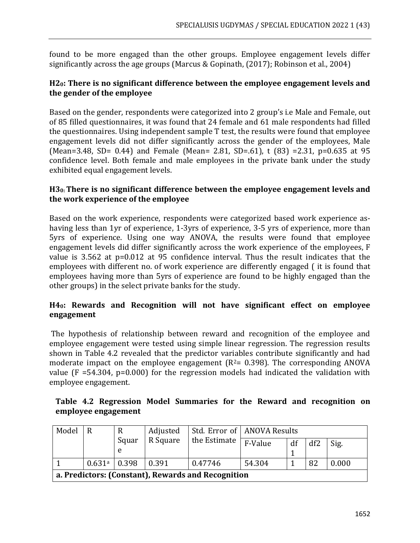found to be more engaged than the other groups. Employee engagement levels differ significantly across the age groups (Marcus & Gopinath, (2017); Robinson et al., 2004)

## **H20: There is no significant difference between the employee engagement levels and the gender of the employee**

Based on the gender, respondents were categorized into 2 group's i.e Male and Female, out of 85 filled questionnaires, it was found that 24 female and 61 male respondents had filled the questionnaires. Using independent sample T test, the results were found that employee engagement levels did not differ significantly across the gender of the employees, Male (Mean=3.48, SD= 0.44) and Female (Mean= 2.81, SD=.61), t (83) =2.31, p=0.635 at 95 confidence level. Both female and male employees in the private bank under the study exhibited equal engagement levels.

## **H30: There is no significant difference between the employee engagement levels and the work experience of the employee**

Based on the work experience, respondents were categorized based work experience ashaving less than 1yr of experience, 1-3yrs of experience, 3-5 yrs of experience, more than 5yrs of experience. Using one way ANOVA, the results were found that employee engagement levels did differ significantly across the work experience of the employees, F value is 3.562 at p=0.012 at 95 confidence interval. Thus the result indicates that the employees with different no. of work experience are differently engaged ( it is found that employees having more than 5yrs of experience are found to be highly engaged than the other groups) in the select private banks for the study.

## **H40: Rewards and Recognition will not have significant effect on employee engagement**

The hypothesis of relationship between reward and recognition of the employee and employee engagement were tested using simple linear regression. The regression results shown in Table 4.2 revealed that the predictor variables contribute significantly and had moderate impact on the employee engagement  $(R^2= 0.398)$ . The corresponding ANOVA value (F =54.304, p=0.000) for the regression models had indicated the validation with employee engagement.

|  |                     |  |  |  | Table 4.2 Regression Model Summaries for the Reward and recognition on |  |
|--|---------------------|--|--|--|------------------------------------------------------------------------|--|
|  | employee engagement |  |  |  |                                                                        |  |

| Model                                              | R                            | R                                      |             | Std. Error of   ANOVA Results |        |      |    |       |
|----------------------------------------------------|------------------------------|----------------------------------------|-------------|-------------------------------|--------|------|----|-------|
|                                                    |                              | R Square<br>the Estimate<br>Squar<br>e | F-Value     | df                            | df2    | Sig. |    |       |
|                                                    |                              |                                        |             |                               |        |      |    |       |
|                                                    | $0.631$ <sup>a</sup>   0.398 |                                        | $\pm 0.391$ | 0.47746                       | 54.304 |      | 82 | 0.000 |
| a. Predictors: (Constant), Rewards and Recognition |                              |                                        |             |                               |        |      |    |       |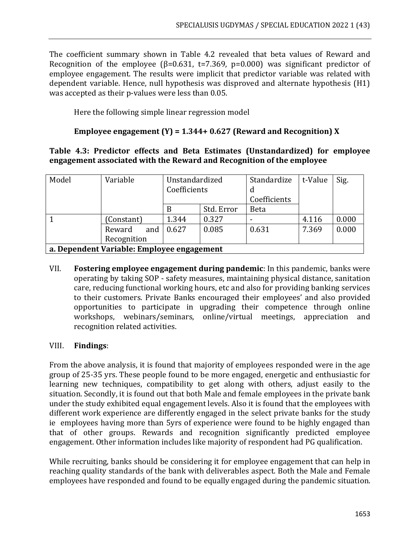The coefficient summary shown in Table 4.2 revealed that beta values of Reward and Recognition of the employee ( $\beta$ =0.631, t=7.369, p=0.000) was significant predictor of employee engagement. The results were implicit that predictor variable was related with dependent variable. Hence, null hypothesis was disproved and alternate hypothesis (H1) was accepted as their p-values were less than 0.05.

Here the following simple linear regression model

# **Employee engagement (Y) = 1.344+ 0.627 (Reward and Recognition) X**

## **Table 4.3: Predictor effects and Beta Estimates (Unstandardized) for employee engagement associated with the Reward and Recognition of the employee**

| Model                                      | Variable      | Unstandardized |            | Standardize  | t-Value | Sig.  |  |  |
|--------------------------------------------|---------------|----------------|------------|--------------|---------|-------|--|--|
|                                            |               | Coefficients   |            | d            |         |       |  |  |
|                                            |               |                |            | Coefficients |         |       |  |  |
|                                            |               | B              | Std. Error | <b>Beta</b>  |         |       |  |  |
|                                            | (Constant)    | 1.344          | 0.327      |              | 4.116   | 0.000 |  |  |
|                                            | Reward<br>and | 0.627          | 0.085      | 0.631        | 7.369   | 0.000 |  |  |
|                                            | Recognition   |                |            |              |         |       |  |  |
| a. Dependent Variable: Employee engagement |               |                |            |              |         |       |  |  |

VII. **Fostering employee engagement during pandemic**: In this pandemic, banks were operating by taking SOP - safety measures, maintaining physical distance, sanitation care, reducing functional working hours, etc and also for providing banking services to their customers. Private Banks encouraged their employees' and also provided opportunities to participate in upgrading their competence through online workshops, webinars/seminars, online/virtual meetings, appreciation and recognition related activities.

## VIII. **Findings**:

From the above analysis, it is found that majority of employees responded were in the age group of 25-35 yrs. These people found to be more engaged, energetic and enthusiastic for learning new techniques, compatibility to get along with others, adjust easily to the situation. Secondly, it is found out that both Male and female employees in the private bank under the study exhibited equal engagement levels. Also it is found that the employees with different work experience are differently engaged in the select private banks for the study ie employees having more than 5yrs of experience were found to be highly engaged than that of other groups. Rewards and recognition significantly predicted employee engagement. Other information includes like majority of respondent had PG qualification.

While recruiting, banks should be considering it for employee engagement that can help in reaching quality standards of the bank with deliverables aspect. Both the Male and Female employees have responded and found to be equally engaged during the pandemic situation.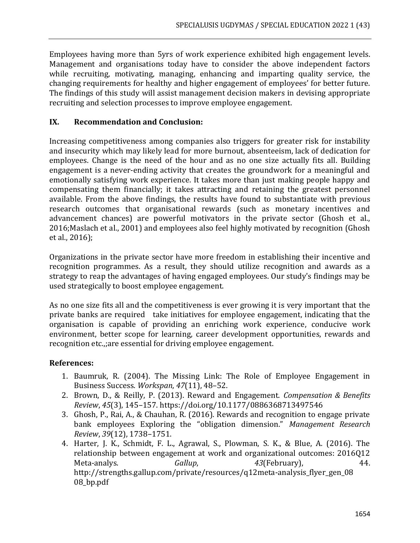Employees having more than 5yrs of work experience exhibited high engagement levels. Management and organisations today have to consider the above independent factors while recruiting, motivating, managing, enhancing and imparting quality service, the changing requirements for healthy and higher engagement of employees' for better future. The findings of this study will assist management decision makers in devising appropriate recruiting and selection processes to improve employee engagement.

## **IX. Recommendation and Conclusion:**

Increasing competitiveness among companies also triggers for greater risk for instability and insecurity which may likely lead for more burnout, absenteeism, lack of dedication for employees. Change is the need of the hour and as no one size actually fits all. Building engagement is a never-ending activity that creates the groundwork for a meaningful and emotionally satisfying work experience. It takes more than just making people happy and compensating them financially; it takes attracting and retaining the greatest personnel available. From the above findings, the results have found to substantiate with previous research outcomes that organisational rewards (such as monetary incentives and advancement chances) are powerful motivators in the private sector (Ghosh et al., 2016;Maslach et al., 2001) and employees also feel highly motivated by recognition (Ghosh et al., 2016);

Organizations in the private sector have more freedom in establishing their incentive and recognition programmes. As a result, they should utilize recognition and awards as a strategy to reap the advantages of having engaged employees. Our study's findings may be used strategically to boost employee engagement.

As no one size fits all and the competitiveness is ever growing it is very important that the private banks are required take initiatives for employee engagement, indicating that the organisation is capable of providing an enriching work experience, conducive work environment, better scope for learning, career development opportunities, rewards and recognition etc.,;are essential for driving employee engagement.

## **References:**

- 1. Baumruk, R. (2004). The Missing Link: The Role of Employee Engagement in Business Success. *Workspan*, *47*(11), 48–52.
- 2. Brown, D., & Reilly, P. (2013). Reward and Engagement. *Compensation & Benefits Review*, *45*(3), 145–157. https://doi.org/10.1177/0886368713497546
- 3. Ghosh, P., Rai, A., & Chauhan, R. (2016). Rewards and recognition to engage private bank employees Exploring the "obligation dimension." *Management Research Review*, *39*(12), 1738–1751.
- 4. Harter, J. K., Schmidt, F. L., Agrawal, S., Plowman, S. K., & Blue, A. (2016). The relationship between engagement at work and organizational outcomes: 2016Q12 Meta-analys. *Gallup*, *43*(February), 44. http://strengths.gallup.com/private/resources/q12meta-analysis flyer gen 08 08\_bp.pdf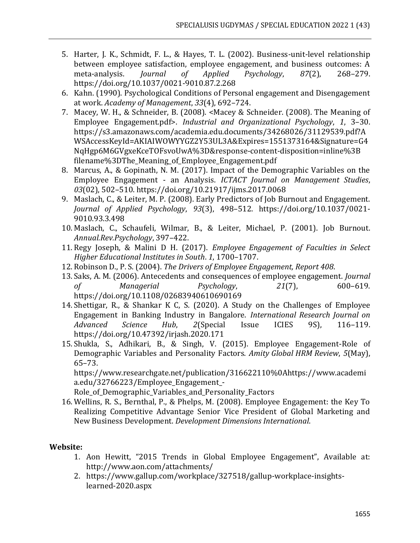- 5. Harter, J. K., Schmidt, F. L., & Hayes, T. L. (2002). Business-unit-level relationship between employee satisfaction, employee engagement, and business outcomes: A meta-analysis. *Journal of Applied Psychology*, *87*(2), 268–279. https://doi.org/10.1037/0021-9010.87.2.268
- 6. Kahn. (1990). Psychological Conditions of Personal engagement and Disengagement at work. *Academy of Management*, *33*(4), 692–724.
- 7. Macey, W. H., & Schneider, B. (2008). <Macey & Schneider. (2008). The Meaning of Employee Engagement.pdf>. *Industrial and Organizational Psychology*, *1*, 3–30. https://s3.amazonaws.com/academia.edu.documents/34268026/31129539.pdf?A WSAccessKeyId=AKIAIWOWYYGZ2Y53UL3A&Expires=1551373164&Signature=G4 NqHgp6M6GVgxeKceTOFsvoUwA%3D&response-content-disposition=inline%3B filename%3DThe\_Meaning\_of\_Employee\_Engagement.pdf
- 8. Marcus, A., & Gopinath, N. M. (2017). Impact of the Demographic Variables on the Employee Engagement - an Analysis. *ICTACT Journal on Management Studies*, *03*(02), 502–510. https://doi.org/10.21917/ijms.2017.0068
- 9. Maslach, C., & Leiter, M. P. (2008). Early Predictors of Job Burnout and Engagement. *Journal of Applied Psychology*, *93*(3), 498–512. https://doi.org/10.1037/0021- 9010.93.3.498
- 10. Maslach, C., Schaufeli, Wilmar, B., & Leiter, Michael, P. (2001). Job Burnout. *Annual.Rev.Psychology*, 397–422.
- 11. Regy Joseph, & Malini D H. (2017). *Employee Engagement of Faculties in Select Higher Educational Institutes in South*. *1*, 1700–1707.
- 12. Robinson D., P. S. (2004). *The Drivers of Employee Engagement, Report 408*.
- 13. Saks, A. M. (2006). Antecedents and consequences of employee engagement. *Journal of Managerial Psychology*, *21*(7), 600–619. https://doi.org/10.1108/02683940610690169
- 14. Shettigar, R., & Shankar K C, S. (2020). A Study on the Challenges of Employee Engagement in Banking Industry in Bangalore. *International Research Journal on Advanced Science Hub*, *2*(Special Issue ICIES 9S), 116–119. https://doi.org/10.47392/irjash.2020.171
- 15. Shukla, S., Adhikari, B., & Singh, V. (2015). Employee Engagement-Role of Demographic Variables and Personality Factors. *Amity Global HRM Review*, *5*(May), 65–73.

https://www.researchgate.net/publication/316622110%0Ahttps://www.academi a.edu/32766223/Employee Engagement -

Role of Demographic Variables and Personality Factors

16. Wellins, R. S., Bernthal, P., & Phelps, M. (2008). Employee Engagement: the Key To Realizing Competitive Advantage Senior Vice President of Global Marketing and New Business Development. *Development Dimensions International*.

# **Website:**

- 1. Aon Hewitt, "2015 Trends in Global Employee Engagement", Available at: <http://www.aon.com/attachments/>
- 2. [https://www.gallup.com/workplace/327518/gallup-workplace-insights](https://www.gallup.com/workplace/327518/gallup-workplace-insights-learned-2020.aspx)[learned-2020.aspx](https://www.gallup.com/workplace/327518/gallup-workplace-insights-learned-2020.aspx)